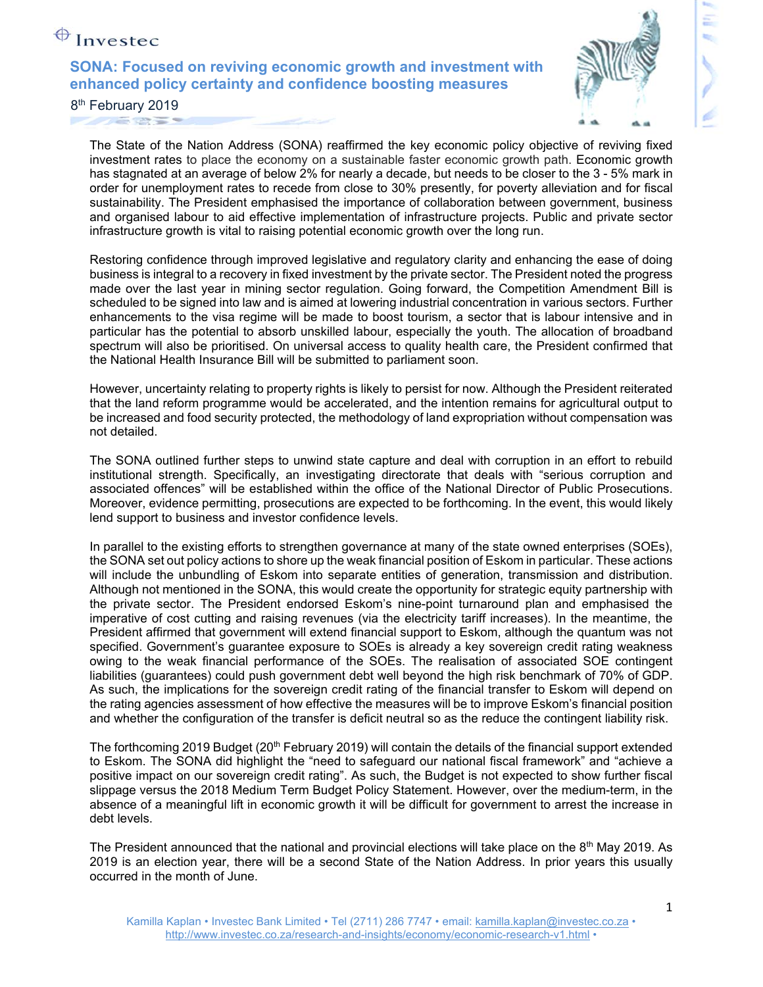## $\bigoplus$  Investec

**SONA: Focused on reviving economic growth and investment with enhanced policy certainty and confidence boosting measures** 



8<sup>th</sup> February 2019  $-725$ 

> The State of the Nation Address (SONA) reaffirmed the key economic policy objective of reviving fixed investment rates to place the economy on a sustainable faster economic growth path. Economic growth has stagnated at an average of below 2% for nearly a decade, but needs to be closer to the 3 - 5% mark in order for unemployment rates to recede from close to 30% presently, for poverty alleviation and for fiscal sustainability. The President emphasised the importance of collaboration between government, business and organised labour to aid effective implementation of infrastructure projects. Public and private sector infrastructure growth is vital to raising potential economic growth over the long run.

> Restoring confidence through improved legislative and regulatory clarity and enhancing the ease of doing business is integral to a recovery in fixed investment by the private sector. The President noted the progress made over the last year in mining sector regulation. Going forward, the Competition Amendment Bill is scheduled to be signed into law and is aimed at lowering industrial concentration in various sectors. Further enhancements to the visa regime will be made to boost tourism, a sector that is labour intensive and in particular has the potential to absorb unskilled labour, especially the youth. The allocation of broadband spectrum will also be prioritised. On universal access to quality health care, the President confirmed that the National Health Insurance Bill will be submitted to parliament soon.

> However, uncertainty relating to property rights is likely to persist for now. Although the President reiterated that the land reform programme would be accelerated, and the intention remains for agricultural output to be increased and food security protected, the methodology of land expropriation without compensation was not detailed.

> The SONA outlined further steps to unwind state capture and deal with corruption in an effort to rebuild institutional strength. Specifically, an investigating directorate that deals with "serious corruption and associated offences" will be established within the office of the National Director of Public Prosecutions. Moreover, evidence permitting, prosecutions are expected to be forthcoming. In the event, this would likely lend support to business and investor confidence levels.

> In parallel to the existing efforts to strengthen governance at many of the state owned enterprises (SOEs), the SONA set out policy actions to shore up the weak financial position of Eskom in particular. These actions will include the unbundling of Eskom into separate entities of generation, transmission and distribution. Although not mentioned in the SONA, this would create the opportunity for strategic equity partnership with the private sector. The President endorsed Eskom's nine-point turnaround plan and emphasised the imperative of cost cutting and raising revenues (via the electricity tariff increases). In the meantime, the President affirmed that government will extend financial support to Eskom, although the quantum was not specified. Government's guarantee exposure to SOEs is already a key sovereign credit rating weakness owing to the weak financial performance of the SOEs. The realisation of associated SOE contingent liabilities (guarantees) could push government debt well beyond the high risk benchmark of 70% of GDP. As such, the implications for the sovereign credit rating of the financial transfer to Eskom will depend on the rating agencies assessment of how effective the measures will be to improve Eskom's financial position and whether the configuration of the transfer is deficit neutral so as the reduce the contingent liability risk.

> The forthcoming 2019 Budget (20<sup>th</sup> February 2019) will contain the details of the financial support extended to Eskom. The SONA did highlight the "need to safeguard our national fiscal framework" and "achieve a positive impact on our sovereign credit rating". As such, the Budget is not expected to show further fiscal slippage versus the 2018 Medium Term Budget Policy Statement. However, over the medium-term, in the absence of a meaningful lift in economic growth it will be difficult for government to arrest the increase in debt levels.

> The President announced that the national and provincial elections will take place on the 8<sup>th</sup> May 2019. As 2019 is an election year, there will be a second State of the Nation Address. In prior years this usually occurred in the month of June.